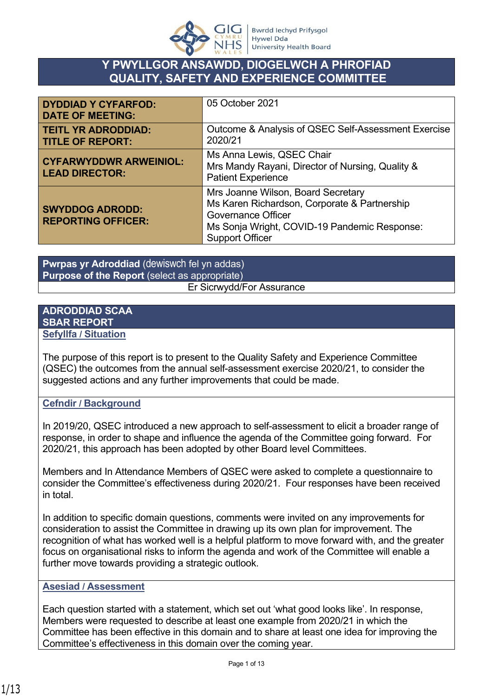

# **Y PWYLLGOR ANSAWDD, DIOGELWCH A PHROFIAD QUALITY, SAFETY AND EXPERIENCE COMMITTEE**

| <b>DYDDIAD Y CYFARFOD:</b><br><b>DATE OF MEETING:</b>  | 05 October 2021                                                                                                                                                                           |
|--------------------------------------------------------|-------------------------------------------------------------------------------------------------------------------------------------------------------------------------------------------|
| <b>TEITL YR ADRODDIAD:</b><br><b>TITLE OF REPORT:</b>  | Outcome & Analysis of QSEC Self-Assessment Exercise<br>2020/21                                                                                                                            |
| <b>CYFARWYDDWR ARWEINIOL:</b><br><b>LEAD DIRECTOR:</b> | Ms Anna Lewis, QSEC Chair<br>Mrs Mandy Rayani, Director of Nursing, Quality &<br><b>Patient Experience</b>                                                                                |
| <b>SWYDDOG ADRODD:</b><br><b>REPORTING OFFICER:</b>    | Mrs Joanne Wilson, Board Secretary<br>Ms Karen Richardson, Corporate & Partnership<br><b>Governance Officer</b><br>Ms Sonja Wright, COVID-19 Pandemic Response:<br><b>Support Officer</b> |

**Pwrpas yr Adroddiad** (dewiswch fel yn addas) **Purpose of the Report** (select as appropriate) Er Sicrwydd/For Assurance

#### **ADRODDIAD SCAA SBAR REPORT Sefyllfa / Situation**

The purpose of this report is to present to the Quality Safety and Experience Committee (QSEC) the outcomes from the annual self-assessment exercise 2020/21, to consider the suggested actions and any further improvements that could be made.

### **Cefndir / Background**

In 2019/20, QSEC introduced a new approach to self-assessment to elicit a broader range of response, in order to shape and influence the agenda of the Committee going forward. For 2020/21, this approach has been adopted by other Board level Committees.

Members and In Attendance Members of QSEC were asked to complete a questionnaire to consider the Committee's effectiveness during 2020/21. Four responses have been received in total.

In addition to specific domain questions, comments were invited on any improvements for consideration to assist the Committee in drawing up its own plan for improvement. The recognition of what has worked well is a helpful platform to move forward with, and the greater focus on organisational risks to inform the agenda and work of the Committee will enable a further move towards providing a strategic outlook.

#### **Asesiad / Assessment**

Each question started with a statement, which set out 'what good looks like'. In response, Members were requested to describe at least one example from 2020/21 in which the Committee has been effective in this domain and to share at least one idea for improving the Committee's effectiveness in this domain over the coming year.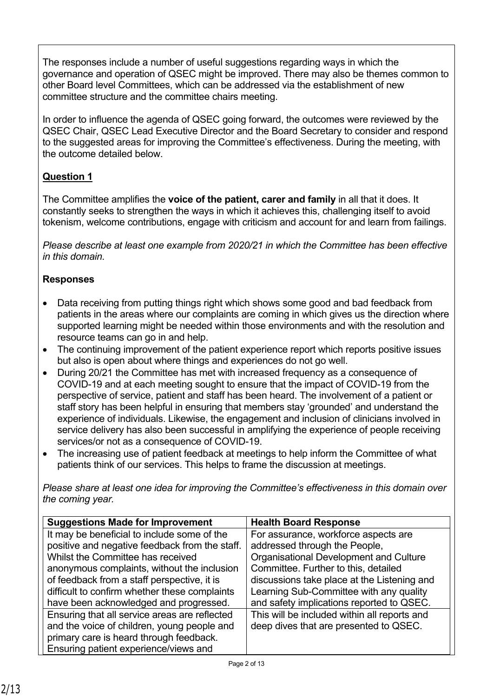The responses include a number of useful suggestions regarding ways in which the governance and operation of QSEC might be improved. There may also be themes common to other Board level Committees, which can be addressed via the establishment of new committee structure and the committee chairs meeting.

In order to influence the agenda of QSEC going forward, the outcomes were reviewed by the QSEC Chair, QSEC Lead Executive Director and the Board Secretary to consider and respond to the suggested areas for improving the Committee's effectiveness. During the meeting, with the outcome detailed below.

## **Question 1**

The Committee amplifies the **voice of the patient, carer and family** in all that it does. It constantly seeks to strengthen the ways in which it achieves this, challenging itself to avoid tokenism, welcome contributions, engage with criticism and account for and learn from failings.

*Please describe at least one example from 2020/21 in which the Committee has been effective in this domain.*

## **Responses**

- Data receiving from putting things right which shows some good and bad feedback from patients in the areas where our complaints are coming in which gives us the direction where supported learning might be needed within those environments and with the resolution and resource teams can go in and help.
- The continuing improvement of the patient experience report which reports positive issues but also is open about where things and experiences do not go well.
- During 20/21 the Committee has met with increased frequency as a consequence of COVID-19 and at each meeting sought to ensure that the impact of COVID-19 from the perspective of service, patient and staff has been heard. The involvement of a patient or staff story has been helpful in ensuring that members stay 'grounded' and understand the experience of individuals. Likewise, the engagement and inclusion of clinicians involved in service delivery has also been successful in amplifying the experience of people receiving services/or not as a consequence of COVID-19.
- The increasing use of patient feedback at meetings to help inform the Committee of what patients think of our services. This helps to frame the discussion at meetings.

| <b>Suggestions Made for Improvement</b>        | <b>Health Board Response</b>                 |
|------------------------------------------------|----------------------------------------------|
| It may be beneficial to include some of the    | For assurance, workforce aspects are         |
| positive and negative feedback from the staff. | addressed through the People,                |
| Whilst the Committee has received              | Organisational Development and Culture       |
| anonymous complaints, without the inclusion    | Committee. Further to this, detailed         |
| of feedback from a staff perspective, it is    | discussions take place at the Listening and  |
| difficult to confirm whether these complaints  | Learning Sub-Committee with any quality      |
| have been acknowledged and progressed.         | and safety implications reported to QSEC.    |
| Ensuring that all service areas are reflected  | This will be included within all reports and |
| and the voice of children, young people and    | deep dives that are presented to QSEC.       |
| primary care is heard through feedback.        |                                              |
| Ensuring patient experience/views and          |                                              |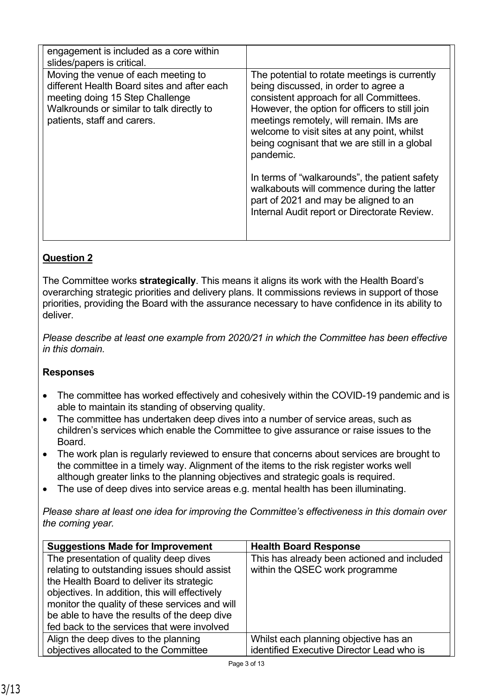| engagement is included as a core within<br>slides/papers is critical.                                                                                                                             |                                                                                                                                                                                                                                                                                                                                                                                                                                                                                                                                    |
|---------------------------------------------------------------------------------------------------------------------------------------------------------------------------------------------------|------------------------------------------------------------------------------------------------------------------------------------------------------------------------------------------------------------------------------------------------------------------------------------------------------------------------------------------------------------------------------------------------------------------------------------------------------------------------------------------------------------------------------------|
| Moving the venue of each meeting to<br>different Health Board sites and after each<br>meeting doing 15 Step Challenge<br>Walkrounds or similar to talk directly to<br>patients, staff and carers. | The potential to rotate meetings is currently<br>being discussed, in order to agree a<br>consistent approach for all Committees.<br>However, the option for officers to still join<br>meetings remotely, will remain. IMs are<br>welcome to visit sites at any point, whilst<br>being cognisant that we are still in a global<br>pandemic.<br>In terms of "walkarounds", the patient safety<br>walkabouts will commence during the latter<br>part of 2021 and may be aligned to an<br>Internal Audit report or Directorate Review. |
|                                                                                                                                                                                                   |                                                                                                                                                                                                                                                                                                                                                                                                                                                                                                                                    |

The Committee works **strategically**. This means it aligns its work with the Health Board's overarching strategic priorities and delivery plans. It commissions reviews in support of those priorities, providing the Board with the assurance necessary to have confidence in its ability to deliver.

*Please describe at least one example from 2020/21 in which the Committee has been effective in this domain.*

## **Responses**

- The committee has worked effectively and cohesively within the COVID-19 pandemic and is able to maintain its standing of observing quality.
- The committee has undertaken deep dives into a number of service areas, such as children's services which enable the Committee to give assurance or raise issues to the Board.
- The work plan is regularly reviewed to ensure that concerns about services are brought to the committee in a timely way. Alignment of the items to the risk register works well although greater links to the planning objectives and strategic goals is required.
- The use of deep dives into service areas e.g. mental health has been illuminating.

| <b>Suggestions Made for Improvement</b>        | <b>Health Board Response</b>                |
|------------------------------------------------|---------------------------------------------|
| The presentation of quality deep dives         | This has already been actioned and included |
| relating to outstanding issues should assist   | within the QSEC work programme              |
| the Health Board to deliver its strategic      |                                             |
| objectives. In addition, this will effectively |                                             |
| monitor the quality of these services and will |                                             |
| be able to have the results of the deep dive   |                                             |
| fed back to the services that were involved    |                                             |
| Align the deep dives to the planning           | Whilst each planning objective has an       |
| objectives allocated to the Committee          | identified Executive Director Lead who is   |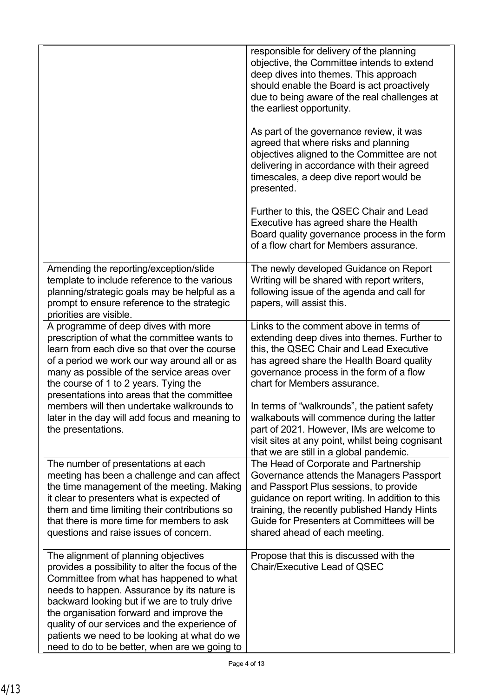|                                                                                                                                                                                                                                                                                                                                                                                                                                               | responsible for delivery of the planning<br>objective, the Committee intends to extend<br>deep dives into themes. This approach<br>should enable the Board is act proactively<br>due to being aware of the real challenges at<br>the earliest opportunity.<br>As part of the governance review, it was<br>agreed that where risks and planning<br>objectives aligned to the Committee are not<br>delivering in accordance with their agreed<br>timescales, a deep dive report would be<br>presented. |
|-----------------------------------------------------------------------------------------------------------------------------------------------------------------------------------------------------------------------------------------------------------------------------------------------------------------------------------------------------------------------------------------------------------------------------------------------|------------------------------------------------------------------------------------------------------------------------------------------------------------------------------------------------------------------------------------------------------------------------------------------------------------------------------------------------------------------------------------------------------------------------------------------------------------------------------------------------------|
|                                                                                                                                                                                                                                                                                                                                                                                                                                               | Further to this, the QSEC Chair and Lead<br>Executive has agreed share the Health<br>Board quality governance process in the form<br>of a flow chart for Members assurance.                                                                                                                                                                                                                                                                                                                          |
| Amending the reporting/exception/slide<br>template to include reference to the various<br>planning/strategic goals may be helpful as a<br>prompt to ensure reference to the strategic<br>priorities are visible.                                                                                                                                                                                                                              | The newly developed Guidance on Report<br>Writing will be shared with report writers,<br>following issue of the agenda and call for<br>papers, will assist this.                                                                                                                                                                                                                                                                                                                                     |
| A programme of deep dives with more<br>prescription of what the committee wants to<br>learn from each dive so that over the course<br>of a period we work our way around all or as<br>many as possible of the service areas over<br>the course of 1 to 2 years. Tying the<br>presentations into areas that the committee<br>members will then undertake walkrounds to<br>later in the day will add focus and meaning to<br>the presentations. | Links to the comment above in terms of<br>extending deep dives into themes. Further to<br>this, the QSEC Chair and Lead Executive<br>has agreed share the Health Board quality<br>governance process in the form of a flow<br>chart for Members assurance.<br>In terms of "walkrounds", the patient safety<br>walkabouts will commence during the latter<br>part of 2021. However, IMs are welcome to<br>visit sites at any point, whilst being cognisant<br>that we are still in a global pandemic. |
| The number of presentations at each<br>meeting has been a challenge and can affect<br>the time management of the meeting. Making<br>it clear to presenters what is expected of<br>them and time limiting their contributions so<br>that there is more time for members to ask<br>questions and raise issues of concern.                                                                                                                       | The Head of Corporate and Partnership<br>Governance attends the Managers Passport<br>and Passport Plus sessions, to provide<br>guidance on report writing. In addition to this<br>training, the recently published Handy Hints<br>Guide for Presenters at Committees will be<br>shared ahead of each meeting.                                                                                                                                                                                        |
| The alignment of planning objectives<br>provides a possibility to alter the focus of the<br>Committee from what has happened to what<br>needs to happen. Assurance by its nature is<br>backward looking but if we are to truly drive<br>the organisation forward and improve the<br>quality of our services and the experience of<br>patients we need to be looking at what do we<br>need to do to be better, when are we going to            | Propose that this is discussed with the<br><b>Chair/Executive Lead of QSEC</b>                                                                                                                                                                                                                                                                                                                                                                                                                       |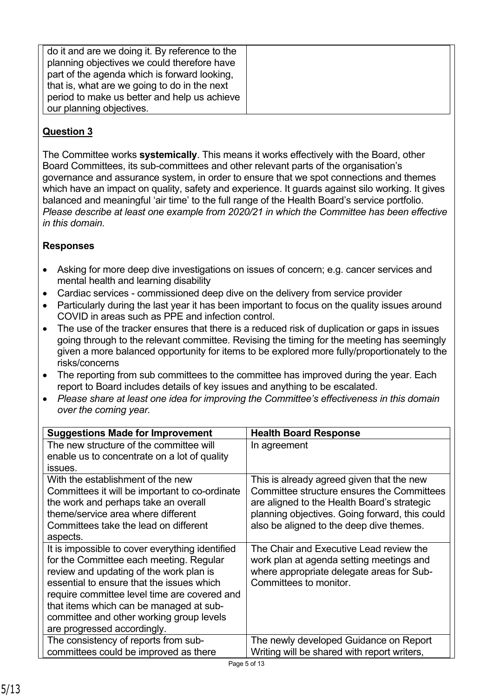| do it and are we doing it. By reference to the |  |
|------------------------------------------------|--|
| planning objectives we could therefore have    |  |
|                                                |  |
| part of the agenda which is forward looking,   |  |
| that is, what are we going to do in the next   |  |
| period to make us better and help us achieve   |  |
| our planning objectives.                       |  |

The Committee works **systemically**. This means it works effectively with the Board, other Board Committees, its sub-committees and other relevant parts of the organisation's governance and assurance system, in order to ensure that we spot connections and themes which have an impact on quality, safety and experience. It guards against silo working. It gives balanced and meaningful 'air time' to the full range of the Health Board's service portfolio. *Please describe at least one example from 2020/21 in which the Committee has been effective in this domain.*

### **Responses**

- Asking for more deep dive investigations on issues of concern; e.g. cancer services and mental health and learning disability
- Cardiac services commissioned deep dive on the delivery from service provider
- Particularly during the last year it has been important to focus on the quality issues around COVID in areas such as PPE and infection control.
- The use of the tracker ensures that there is a reduced risk of duplication or gaps in issues going through to the relevant committee. Revising the timing for the meeting has seemingly given a more balanced opportunity for items to be explored more fully/proportionately to the risks/concerns
- The reporting from sub committees to the committee has improved during the year. Each report to Board includes details of key issues and anything to be escalated.
- *Please share at least one idea for improving the Committee's effectiveness in this domain over the coming year.*

| <b>Suggestions Made for Improvement</b>         | <b>Health Board Response</b>                   |
|-------------------------------------------------|------------------------------------------------|
| The new structure of the committee will         | In agreement                                   |
| enable us to concentrate on a lot of quality    |                                                |
| issues.                                         |                                                |
| With the establishment of the new               | This is already agreed given that the new      |
| Committees it will be important to co-ordinate  | Committee structure ensures the Committees     |
| the work and perhaps take an overall            | are aligned to the Health Board's strategic    |
| theme/service area where different              | planning objectives. Going forward, this could |
| Committees take the lead on different           | also be aligned to the deep dive themes.       |
| aspects.                                        |                                                |
| It is impossible to cover everything identified | The Chair and Executive Lead review the        |
| for the Committee each meeting. Regular         | work plan at agenda setting meetings and       |
| review and updating of the work plan is         | where appropriate delegate areas for Sub-      |
| essential to ensure that the issues which       | Committees to monitor.                         |
| require committee level time are covered and    |                                                |
| that items which can be managed at sub-         |                                                |
| committee and other working group levels        |                                                |
| are progressed accordingly.                     |                                                |
| The consistency of reports from sub-            | The newly developed Guidance on Report         |
| committees could be improved as there           | Writing will be shared with report writers,    |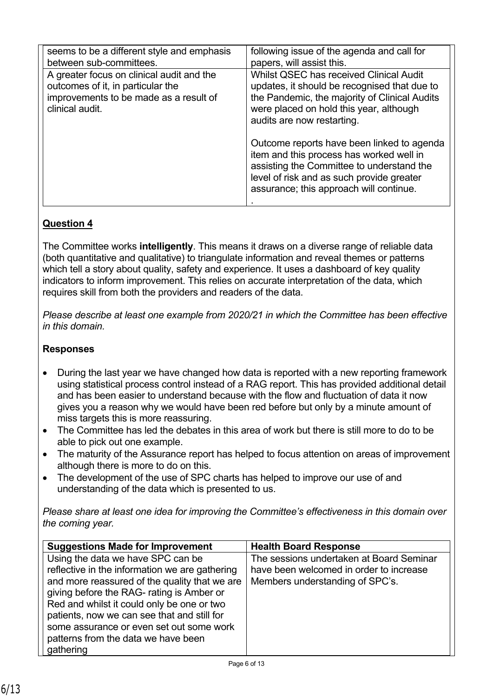| seems to be a different style and emphasis<br>between sub-committees.                                                                       | following issue of the agenda and call for<br>papers, will assist this.                                                                                                                                                     |
|---------------------------------------------------------------------------------------------------------------------------------------------|-----------------------------------------------------------------------------------------------------------------------------------------------------------------------------------------------------------------------------|
| A greater focus on clinical audit and the<br>outcomes of it, in particular the<br>improvements to be made as a result of<br>clinical audit. | Whilst QSEC has received Clinical Audit<br>updates, it should be recognised that due to<br>the Pandemic, the majority of Clinical Audits<br>were placed on hold this year, although<br>audits are now restarting.           |
|                                                                                                                                             | Outcome reports have been linked to agenda<br>item and this process has worked well in<br>assisting the Committee to understand the<br>level of risk and as such provide greater<br>assurance; this approach will continue. |

The Committee works **intelligently**. This means it draws on a diverse range of reliable data (both quantitative and qualitative) to triangulate information and reveal themes or patterns which tell a story about quality, safety and experience. It uses a dashboard of key quality indicators to inform improvement. This relies on accurate interpretation of the data, which requires skill from both the providers and readers of the data.

*Please describe at least one example from 2020/21 in which the Committee has been effective in this domain.*

### **Responses**

- During the last year we have changed how data is reported with a new reporting framework using statistical process control instead of a RAG report. This has provided additional detail and has been easier to understand because with the flow and fluctuation of data it now gives you a reason why we would have been red before but only by a minute amount of miss targets this is more reassuring.
- The Committee has led the debates in this area of work but there is still more to do to be able to pick out one example.
- The maturity of the Assurance report has helped to focus attention on areas of improvement although there is more to do on this.
- The development of the use of SPC charts has helped to improve our use of and understanding of the data which is presented to us.

| <b>Suggestions Made for Improvement</b>        | <b>Health Board Response</b>             |
|------------------------------------------------|------------------------------------------|
| Using the data we have SPC can be              | The sessions undertaken at Board Seminar |
| reflective in the information we are gathering | have been welcomed in order to increase  |
| and more reassured of the quality that we are  | Members understanding of SPC's.          |
| giving before the RAG- rating is Amber or      |                                          |
| Red and whilst it could only be one or two     |                                          |
| patients, now we can see that and still for    |                                          |
| some assurance or even set out some work       |                                          |
| patterns from the data we have been            |                                          |
| gathering                                      |                                          |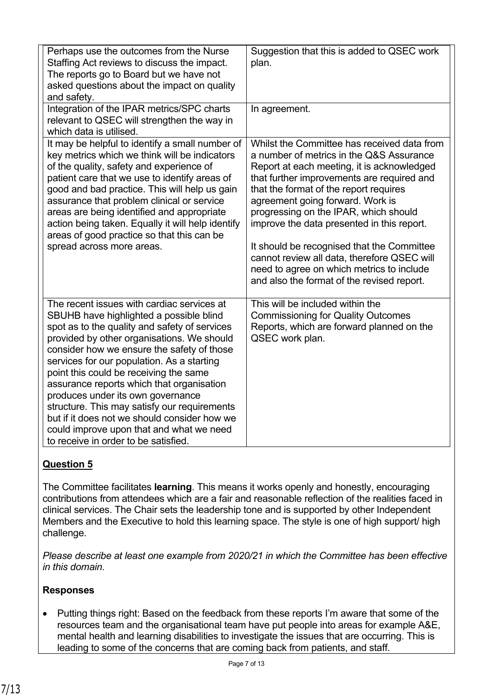| Perhaps use the outcomes from the Nurse<br>Staffing Act reviews to discuss the impact.<br>The reports go to Board but we have not<br>asked questions about the impact on quality<br>and safety.                                                                                                                                                                                                                                                                                                                                                                                                  | Suggestion that this is added to QSEC work<br>plan.                                                                                                                                                                                                                                                                                                                                                                                                                                                                                              |
|--------------------------------------------------------------------------------------------------------------------------------------------------------------------------------------------------------------------------------------------------------------------------------------------------------------------------------------------------------------------------------------------------------------------------------------------------------------------------------------------------------------------------------------------------------------------------------------------------|--------------------------------------------------------------------------------------------------------------------------------------------------------------------------------------------------------------------------------------------------------------------------------------------------------------------------------------------------------------------------------------------------------------------------------------------------------------------------------------------------------------------------------------------------|
| Integration of the IPAR metrics/SPC charts<br>relevant to QSEC will strengthen the way in<br>which data is utilised.                                                                                                                                                                                                                                                                                                                                                                                                                                                                             | In agreement.                                                                                                                                                                                                                                                                                                                                                                                                                                                                                                                                    |
| It may be helpful to identify a small number of<br>key metrics which we think will be indicators<br>of the quality, safety and experience of<br>patient care that we use to identify areas of<br>good and bad practice. This will help us gain<br>assurance that problem clinical or service<br>areas are being identified and appropriate<br>action being taken. Equally it will help identify<br>areas of good practice so that this can be<br>spread across more areas.                                                                                                                       | Whilst the Committee has received data from<br>a number of metrics in the Q&S Assurance<br>Report at each meeting, it is acknowledged<br>that further improvements are required and<br>that the format of the report requires<br>agreement going forward. Work is<br>progressing on the IPAR, which should<br>improve the data presented in this report.<br>It should be recognised that the Committee<br>cannot review all data, therefore QSEC will<br>need to agree on which metrics to include<br>and also the format of the revised report. |
| The recent issues with cardiac services at<br>SBUHB have highlighted a possible blind<br>spot as to the quality and safety of services<br>provided by other organisations. We should<br>consider how we ensure the safety of those<br>services for our population. As a starting<br>point this could be receiving the same<br>assurance reports which that organisation<br>produces under its own governance<br>structure. This may satisfy our requirements<br>but if it does not we should consider how we<br>could improve upon that and what we need<br>to receive in order to be satisfied. | This will be included within the<br><b>Commissioning for Quality Outcomes</b><br>Reports, which are forward planned on the<br>QSEC work plan.                                                                                                                                                                                                                                                                                                                                                                                                    |

The Committee facilitates **learning**. This means it works openly and honestly, encouraging contributions from attendees which are a fair and reasonable reflection of the realities faced in clinical services. The Chair sets the leadership tone and is supported by other Independent Members and the Executive to hold this learning space. The style is one of high support/ high challenge.

*Please describe at least one example from 2020/21 in which the Committee has been effective in this domain.*

### **Responses**

• Putting things right: Based on the feedback from these reports I'm aware that some of the resources team and the organisational team have put people into areas for example A&E, mental health and learning disabilities to investigate the issues that are occurring. This is leading to some of the concerns that are coming back from patients, and staff.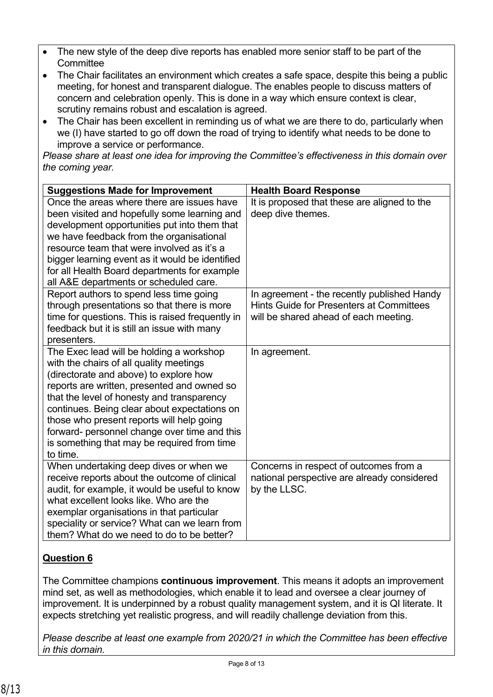- The new style of the deep dive reports has enabled more senior staff to be part of the **Committee**
- The Chair facilitates an environment which creates a safe space, despite this being a public meeting, for honest and transparent dialogue. The enables people to discuss matters of concern and celebration openly. This is done in a way which ensure context is clear, scrutiny remains robust and escalation is agreed.
- The Chair has been excellent in reminding us of what we are there to do, particularly when we (I) have started to go off down the road of trying to identify what needs to be done to improve a service or performance.

*Please share at least one idea for improving the Committee's effectiveness in this domain over the coming year.*

| <b>Suggestions Made for Improvement</b>                                                                                                                                                                                                                                                                                                                                                                                            | <b>Health Board Response</b>                                                                                                     |
|------------------------------------------------------------------------------------------------------------------------------------------------------------------------------------------------------------------------------------------------------------------------------------------------------------------------------------------------------------------------------------------------------------------------------------|----------------------------------------------------------------------------------------------------------------------------------|
| Once the areas where there are issues have<br>been visited and hopefully some learning and<br>development opportunities put into them that<br>we have feedback from the organisational<br>resource team that were involved as it's a<br>bigger learning event as it would be identified<br>for all Health Board departments for example<br>all A&E departments or scheduled care.                                                  | It is proposed that these are aligned to the<br>deep dive themes.                                                                |
| Report authors to spend less time going<br>through presentations so that there is more<br>time for questions. This is raised frequently in<br>feedback but it is still an issue with many<br>presenters.                                                                                                                                                                                                                           | In agreement - the recently published Handy<br>Hints Guide for Presenters at Committees<br>will be shared ahead of each meeting. |
| The Exec lead will be holding a workshop<br>with the chairs of all quality meetings<br>(directorate and above) to explore how<br>reports are written, presented and owned so<br>that the level of honesty and transparency<br>continues. Being clear about expectations on<br>those who present reports will help going<br>forward- personnel change over time and this<br>is something that may be required from time<br>to time. | In agreement.                                                                                                                    |
| When undertaking deep dives or when we<br>receive reports about the outcome of clinical<br>audit, for example, it would be useful to know<br>what excellent looks like. Who are the<br>exemplar organisations in that particular<br>speciality or service? What can we learn from<br>them? What do we need to do to be better?                                                                                                     | Concerns in respect of outcomes from a<br>national perspective are already considered<br>by the LLSC.                            |

# **Question 6**

The Committee champions **continuous improvement**. This means it adopts an improvement mind set, as well as methodologies, which enable it to lead and oversee a clear journey of improvement. It is underpinned by a robust quality management system, and it is QI literate. It expects stretching yet realistic progress, and will readily challenge deviation from this.

*Please describe at least one example from 2020/21 in which the Committee has been effective in this domain.*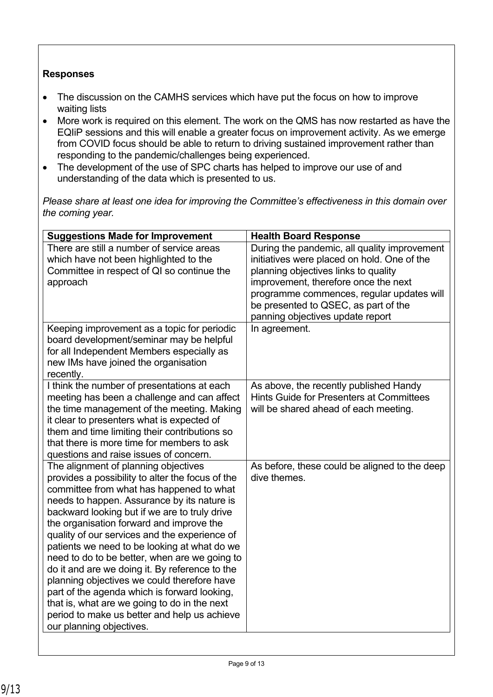## **Responses**

- The discussion on the CAMHS services which have put the focus on how to improve waiting lists
- More work is required on this element. The work on the QMS has now restarted as have the EQIiP sessions and this will enable a greater focus on improvement activity. As we emerge from COVID focus should be able to return to driving sustained improvement rather than responding to the pandemic/challenges being experienced.
- The development of the use of SPC charts has helped to improve our use of and understanding of the data which is presented to us.

| <b>Suggestions Made for Improvement</b>                                                                                                                                                                                                                                                                                                                                                                                                                                                                                                                                                                                                                                                                         | <b>Health Board Response</b>                                                                                                                                                                                                                                                                                          |
|-----------------------------------------------------------------------------------------------------------------------------------------------------------------------------------------------------------------------------------------------------------------------------------------------------------------------------------------------------------------------------------------------------------------------------------------------------------------------------------------------------------------------------------------------------------------------------------------------------------------------------------------------------------------------------------------------------------------|-----------------------------------------------------------------------------------------------------------------------------------------------------------------------------------------------------------------------------------------------------------------------------------------------------------------------|
| There are still a number of service areas<br>which have not been highlighted to the<br>Committee in respect of QI so continue the<br>approach<br>Keeping improvement as a topic for periodic                                                                                                                                                                                                                                                                                                                                                                                                                                                                                                                    | During the pandemic, all quality improvement<br>initiatives were placed on hold. One of the<br>planning objectives links to quality<br>improvement, therefore once the next<br>programme commences, regular updates will<br>be presented to QSEC, as part of the<br>panning objectives update report<br>In agreement. |
| board development/seminar may be helpful<br>for all Independent Members especially as<br>new IMs have joined the organisation<br>recently.                                                                                                                                                                                                                                                                                                                                                                                                                                                                                                                                                                      |                                                                                                                                                                                                                                                                                                                       |
| I think the number of presentations at each<br>meeting has been a challenge and can affect<br>the time management of the meeting. Making<br>it clear to presenters what is expected of<br>them and time limiting their contributions so<br>that there is more time for members to ask<br>questions and raise issues of concern.                                                                                                                                                                                                                                                                                                                                                                                 | As above, the recently published Handy<br>Hints Guide for Presenters at Committees<br>will be shared ahead of each meeting.                                                                                                                                                                                           |
| The alignment of planning objectives<br>provides a possibility to alter the focus of the<br>committee from what has happened to what<br>needs to happen. Assurance by its nature is<br>backward looking but if we are to truly drive<br>the organisation forward and improve the<br>quality of our services and the experience of<br>patients we need to be looking at what do we<br>need to do to be better, when are we going to<br>do it and are we doing it. By reference to the<br>planning objectives we could therefore have<br>part of the agenda which is forward looking,<br>that is, what are we going to do in the next<br>period to make us better and help us achieve<br>our planning objectives. | As before, these could be aligned to the deep<br>dive themes.                                                                                                                                                                                                                                                         |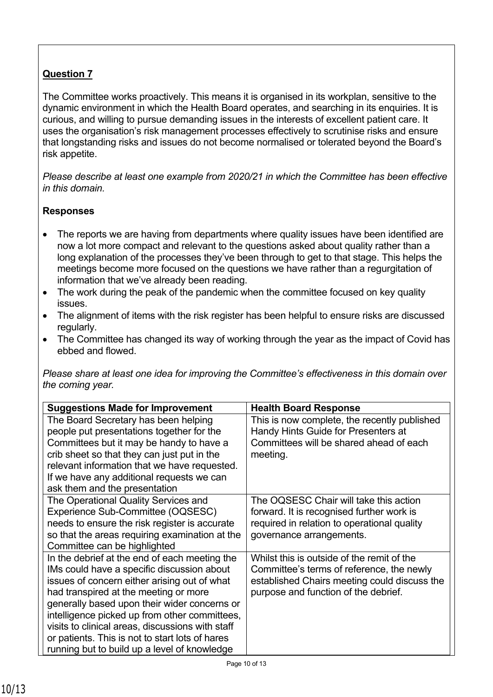The Committee works proactively. This means it is organised in its workplan, sensitive to the dynamic environment in which the Health Board operates, and searching in its enquiries. It is curious, and willing to pursue demanding issues in the interests of excellent patient care. It uses the organisation's risk management processes effectively to scrutinise risks and ensure that longstanding risks and issues do not become normalised or tolerated beyond the Board's risk appetite.

*Please describe at least one example from 2020/21 in which the Committee has been effective in this domain.*

## **Responses**

- The reports we are having from departments where quality issues have been identified are now a lot more compact and relevant to the questions asked about quality rather than a long explanation of the processes they've been through to get to that stage. This helps the meetings become more focused on the questions we have rather than a regurgitation of information that we've already been reading.
- The work during the peak of the pandemic when the committee focused on key quality issues.
- The alignment of items with the risk register has been helpful to ensure risks are discussed regularly.
- The Committee has changed its way of working through the year as the impact of Covid has ebbed and flowed.

| <b>Suggestions Made for Improvement</b>                                                                                                                                                                                                                                                                                                                                                                                                      | <b>Health Board Response</b>                                                                                                                                                    |
|----------------------------------------------------------------------------------------------------------------------------------------------------------------------------------------------------------------------------------------------------------------------------------------------------------------------------------------------------------------------------------------------------------------------------------------------|---------------------------------------------------------------------------------------------------------------------------------------------------------------------------------|
| The Board Secretary has been helping<br>people put presentations together for the<br>Committees but it may be handy to have a<br>crib sheet so that they can just put in the                                                                                                                                                                                                                                                                 | This is now complete, the recently published<br>Handy Hints Guide for Presenters at<br>Committees will be shared ahead of each<br>meeting.                                      |
| relevant information that we have requested.<br>If we have any additional requests we can<br>ask them and the presentation                                                                                                                                                                                                                                                                                                                   |                                                                                                                                                                                 |
| The Operational Quality Services and<br>Experience Sub-Committee (OQSESC)<br>needs to ensure the risk register is accurate<br>so that the areas requiring examination at the<br>Committee can be highlighted                                                                                                                                                                                                                                 | The OQSESC Chair will take this action<br>forward. It is recognised further work is<br>required in relation to operational quality<br>governance arrangements.                  |
| In the debrief at the end of each meeting the<br>IMs could have a specific discussion about<br>issues of concern either arising out of what<br>had transpired at the meeting or more<br>generally based upon their wider concerns or<br>intelligence picked up from other committees,<br>visits to clinical areas, discussions with staff<br>or patients. This is not to start lots of hares<br>running but to build up a level of knowledge | Whilst this is outside of the remit of the<br>Committee's terms of reference, the newly<br>established Chairs meeting could discuss the<br>purpose and function of the debrief. |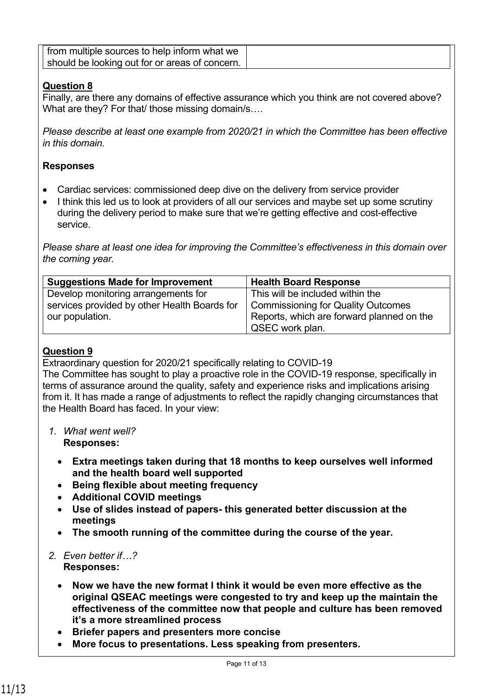| from multiple sources to help inform what we   |  |
|------------------------------------------------|--|
| should be looking out for or areas of concern. |  |

Finally, are there any domains of effective assurance which you think are not covered above? What are they? For that/ those missing domain/s….

*Please describe at least one example from 2020/21 in which the Committee has been effective in this domain.*

### **Responses**

- Cardiac services: commissioned deep dive on the delivery from service provider
- I think this led us to look at providers of all our services and maybe set up some scrutiny during the delivery period to make sure that we're getting effective and cost-effective service.

*Please share at least one idea for improving the Committee's effectiveness in this domain over the coming year.*

| <b>Suggestions Made for Improvement</b>      | <b>Health Board Response</b>              |
|----------------------------------------------|-------------------------------------------|
| Develop monitoring arrangements for          | This will be included within the          |
| services provided by other Health Boards for | <b>Commissioning for Quality Outcomes</b> |
| our population.                              | Reports, which are forward planned on the |
|                                              | QSEC work plan.                           |

### **Question 9**

Extraordinary question for 2020/21 specifically relating to COVID-19

The Committee has sought to play a proactive role in the COVID-19 response, specifically in terms of assurance around the quality, safety and experience risks and implications arising from it. It has made a range of adjustments to reflect the rapidly changing circumstances that the Health Board has faced. In your view:

- *1. What went well?* **Responses:**
	- **Extra meetings taken during that 18 months to keep ourselves well informed and the health board well supported**
	- **Being flexible about meeting frequency**
	- **Additional COVID meetings**
	- **Use of slides instead of papers- this generated better discussion at the meetings**
	- **The smooth running of the committee during the course of the year.**
- *2. Even better if…?* **Responses:**
	- **Now we have the new format I think it would be even more effective as the original QSEAC meetings were congested to try and keep up the maintain the effectiveness of the committee now that people and culture has been removed it's a more streamlined process**
	- **Briefer papers and presenters more concise**
	- **More focus to presentations. Less speaking from presenters.**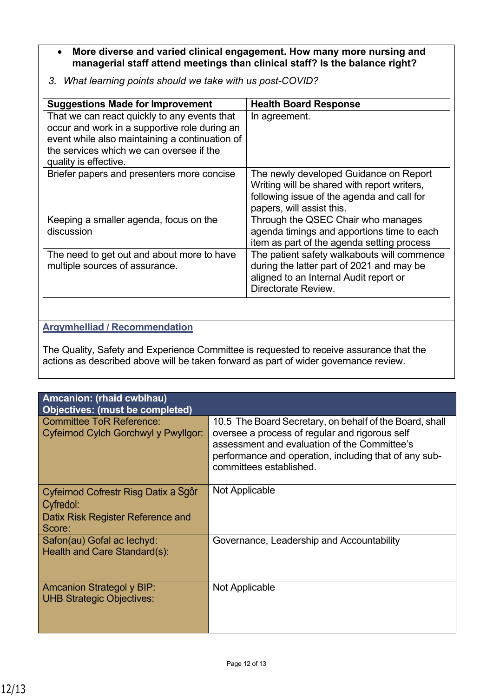- **More diverse and varied clinical engagement. How many more nursing and managerial staff attend meetings than clinical staff? Is the balance right?**
- *3. What learning points should we take with us post-COVID?*

| <b>Suggestions Made for Improvement</b>                                                                                                                                                                              | <b>Health Board Response</b>                                                                                                                                     |
|----------------------------------------------------------------------------------------------------------------------------------------------------------------------------------------------------------------------|------------------------------------------------------------------------------------------------------------------------------------------------------------------|
| That we can react quickly to any events that<br>occur and work in a supportive role during an<br>event while also maintaining a continuation of<br>the services which we can oversee if the<br>quality is effective. | In agreement.                                                                                                                                                    |
| Briefer papers and presenters more concise                                                                                                                                                                           | The newly developed Guidance on Report<br>Writing will be shared with report writers,<br>following issue of the agenda and call for<br>papers, will assist this. |
| Keeping a smaller agenda, focus on the<br>discussion                                                                                                                                                                 | Through the QSEC Chair who manages<br>agenda timings and apportions time to each<br>item as part of the agenda setting process                                   |
| The need to get out and about more to have<br>multiple sources of assurance.                                                                                                                                         | The patient safety walkabouts will commence<br>during the latter part of 2021 and may be<br>aligned to an Internal Audit report or<br>Directorate Review.        |

## **Argymhelliad / Recommendation**

The Quality, Safety and Experience Committee is requested to receive assurance that the actions as described above will be taken forward as part of wider governance review.

| Amcanion: (rhaid cwblhau)<br><b>Objectives: (must be completed)</b>                              |                                                                                                                                                                                                                                               |
|--------------------------------------------------------------------------------------------------|-----------------------------------------------------------------------------------------------------------------------------------------------------------------------------------------------------------------------------------------------|
| <b>Committee ToR Reference:</b><br>Cyfeirnod Cylch Gorchwyl y Pwyllgor:                          | 10.5 The Board Secretary, on behalf of the Board, shall<br>oversee a process of regular and rigorous self<br>assessment and evaluation of the Committee's<br>performance and operation, including that of any sub-<br>committees established. |
| Cyfeirnod Cofrestr Risg Datix a Sgôr<br>Cyfredol:<br>Datix Risk Register Reference and<br>Score: | Not Applicable                                                                                                                                                                                                                                |
| Safon(au) Gofal ac lechyd:<br>Health and Care Standard(s):                                       | Governance, Leadership and Accountability                                                                                                                                                                                                     |
| <b>Amcanion Strategol y BIP:</b><br><b>UHB Strategic Objectives:</b>                             | Not Applicable                                                                                                                                                                                                                                |